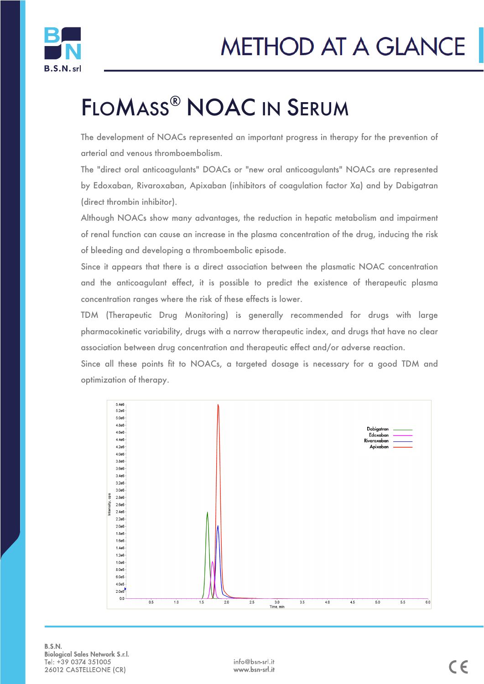

# FLOMASS® NOAC IN SERUM

The development of NOACs represented an important progress in therapy for the prevention of arterial and venous thromboembolism.

The "direct oral anticoagulants" DOACs or "new oral anticoagulants" NOACs are represented by Edoxaban, Rivaroxaban, Apixaban (inhibitors of coagulation factor Xa) and by Dabigatran (direct thrombin inhibitor).

Although NOACs show many advantages, the reduction in hepatic metabolism and impairment of renal function can cause an increase in the plasma concentration of the drug, inducing the risk of bleeding and developing a thromboembolic episode.

Since it appears that there is a direct association between the plasmatic NOAC concentration and the anticoagulant effect, it is possible to predict the existence of therapeutic plasma concentration ranges where the risk of these effects is lower.

TDM (Therapeutic Drug Monitoring) is generally recommended for drugs with large pharmacokinetic variability, drugs with a narrow therapeutic index, and drugs that have no clear association between drug concentration and therapeutic effect and/or adverse reaction.

Since all these points fit to NOACs, a targeted dosage is necessary for a good TDM and optimization of therapy.



B.S.N. **Biological Sales Network S.r.l.** Tel: +39 0374 351005 26012 CASTELLEONE (CR)